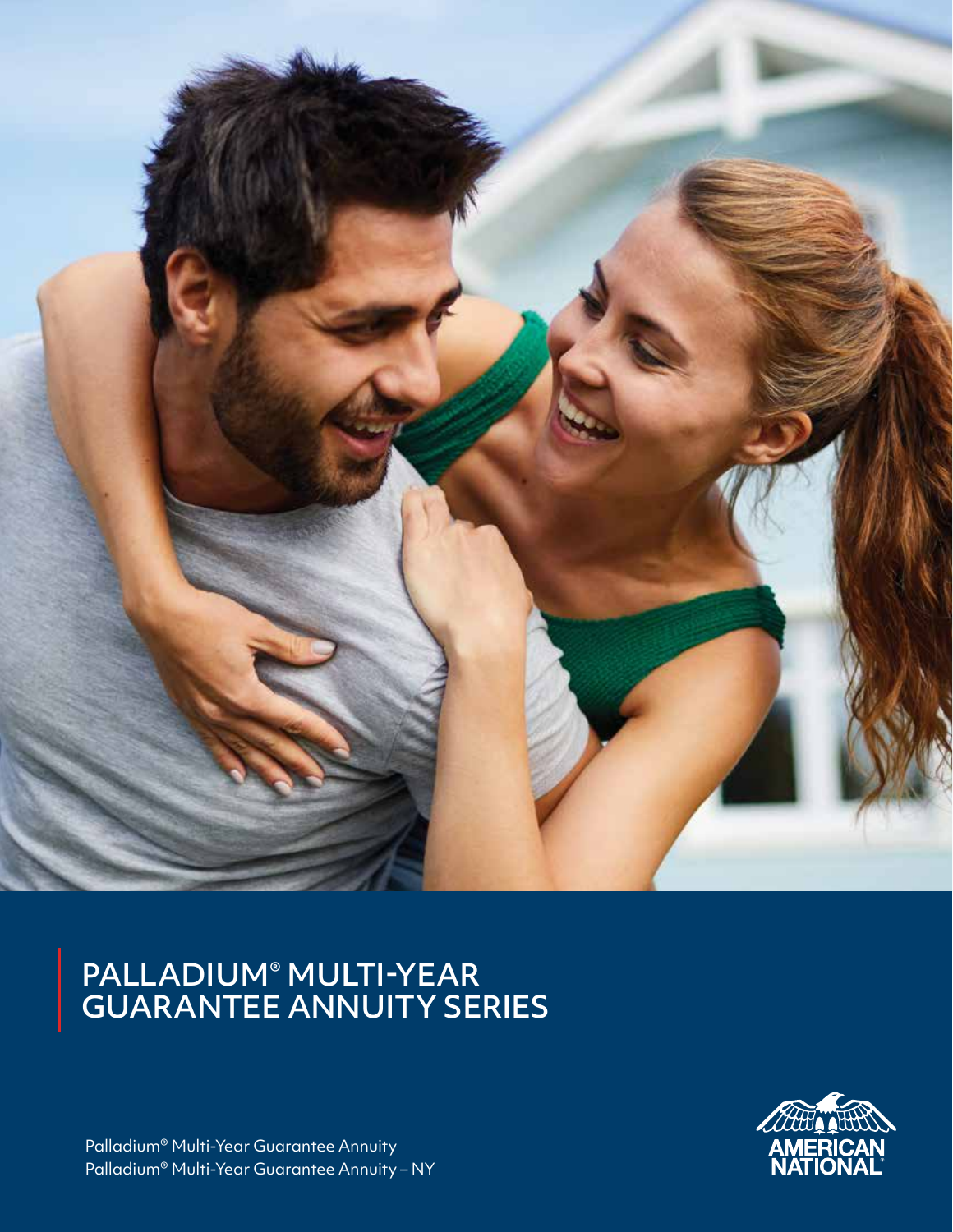

#### PALLADIUM® MULTI-YEAR GUARANTEE ANNUITY SERIES



Palladium® Multi-Year Guarantee Annuity Palladium® Multi-Year Guarantee Annuity – NY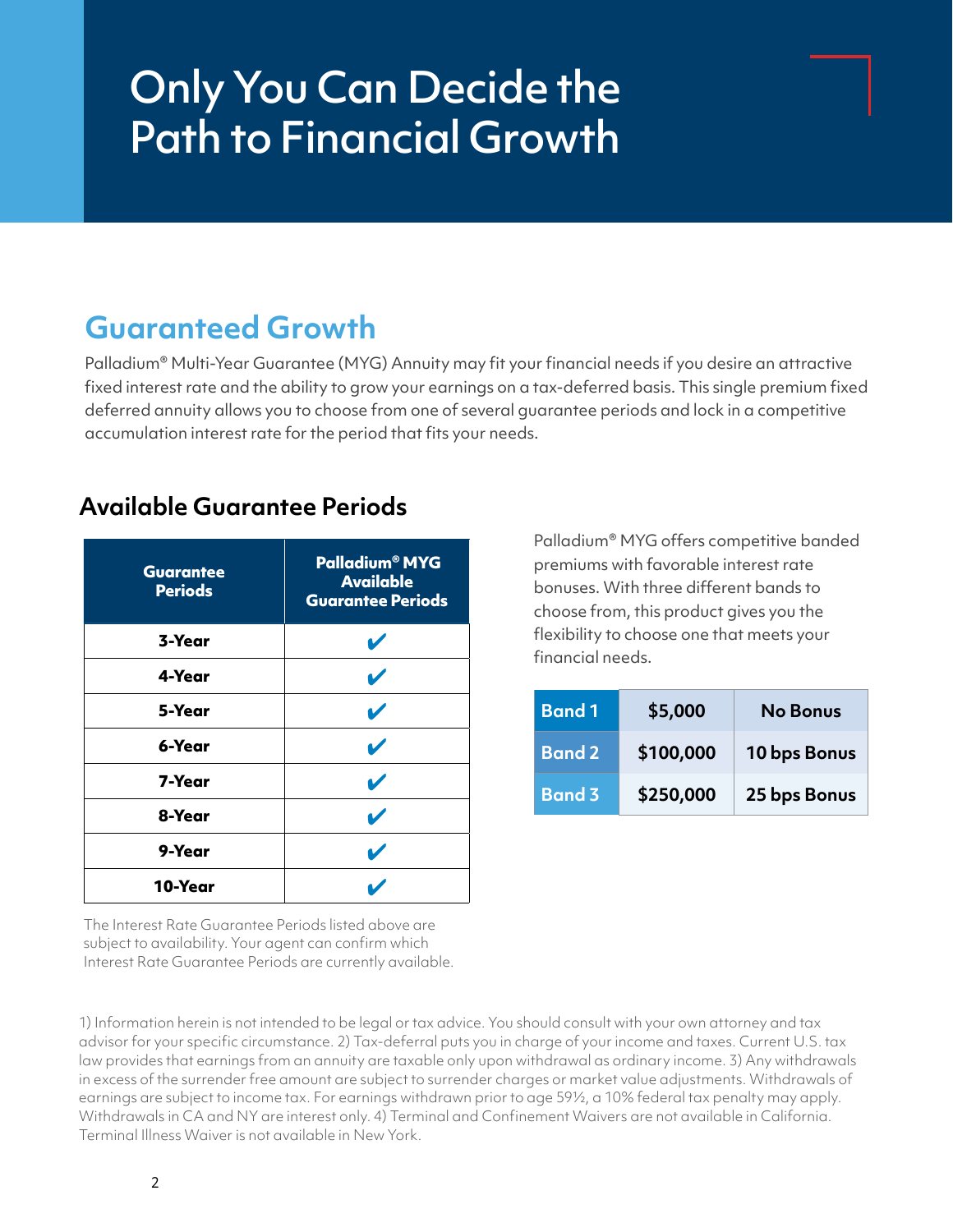# Only You Can Decide the Path to Financial Growth

### **Guaranteed Growth**

Palladium® Multi-Year Guarantee (MYG) Annuity may fit your financial needs if you desire an attractive fixed interest rate and the ability to grow your earnings on a tax-deferred basis. This single premium fixed deferred annuity allows you to choose from one of several guarantee periods and lock in a competitive accumulation interest rate for the period that fits your needs.

| <b>Guarantee</b><br><b>Periods</b> | <b>Palladium<sup>®</sup> MYG</b><br><b>Available</b><br><b>Guarantee Periods</b> |
|------------------------------------|----------------------------------------------------------------------------------|
| 3-Year                             | V                                                                                |
| 4-Year                             | V                                                                                |
| 5-Year                             | V                                                                                |
| 6-Year                             | V                                                                                |
| 7-Year                             | V                                                                                |
| 8-Year                             | V                                                                                |
| 9-Year                             | V                                                                                |
| 10-Year                            |                                                                                  |

#### **Available Guarantee Periods**

Palladium® MYG offers competitive banded premiums with favorable interest rate bonuses. With three different bands to choose from, this product gives you the flexibility to choose one that meets your financial needs.

| <b>Band 1</b> | \$5,000   | <b>No Bonus</b> |  |  |  |  |
|---------------|-----------|-----------------|--|--|--|--|
| <b>Band 2</b> | \$100,000 | 10 bps Bonus    |  |  |  |  |
| <b>Band 3</b> | \$250,000 | 25 bps Bonus    |  |  |  |  |

The Interest Rate Guarantee Periods listed above are subject to availability. Your agent can confirm which Interest Rate Guarantee Periods are currently available.

1) Information herein is not intended to be legal or tax advice. You should consult with your own attorney and tax advisor for your specific circumstance. 2) Tax-deferral puts you in charge of your income and taxes. Current U.S. tax law provides that earnings from an annuity are taxable only upon withdrawal as ordinary income. 3) Any withdrawals in excess of the surrender free amount are subject to surrender charges or market value adjustments. Withdrawals of earnings are subject to income tax. For earnings withdrawn prior to age 59½, a 10% federal tax penalty may apply. Withdrawals in CA and NY are interest only. 4) Terminal and Confinement Waivers are not available in California. Terminal Illness Waiver is not available in New York.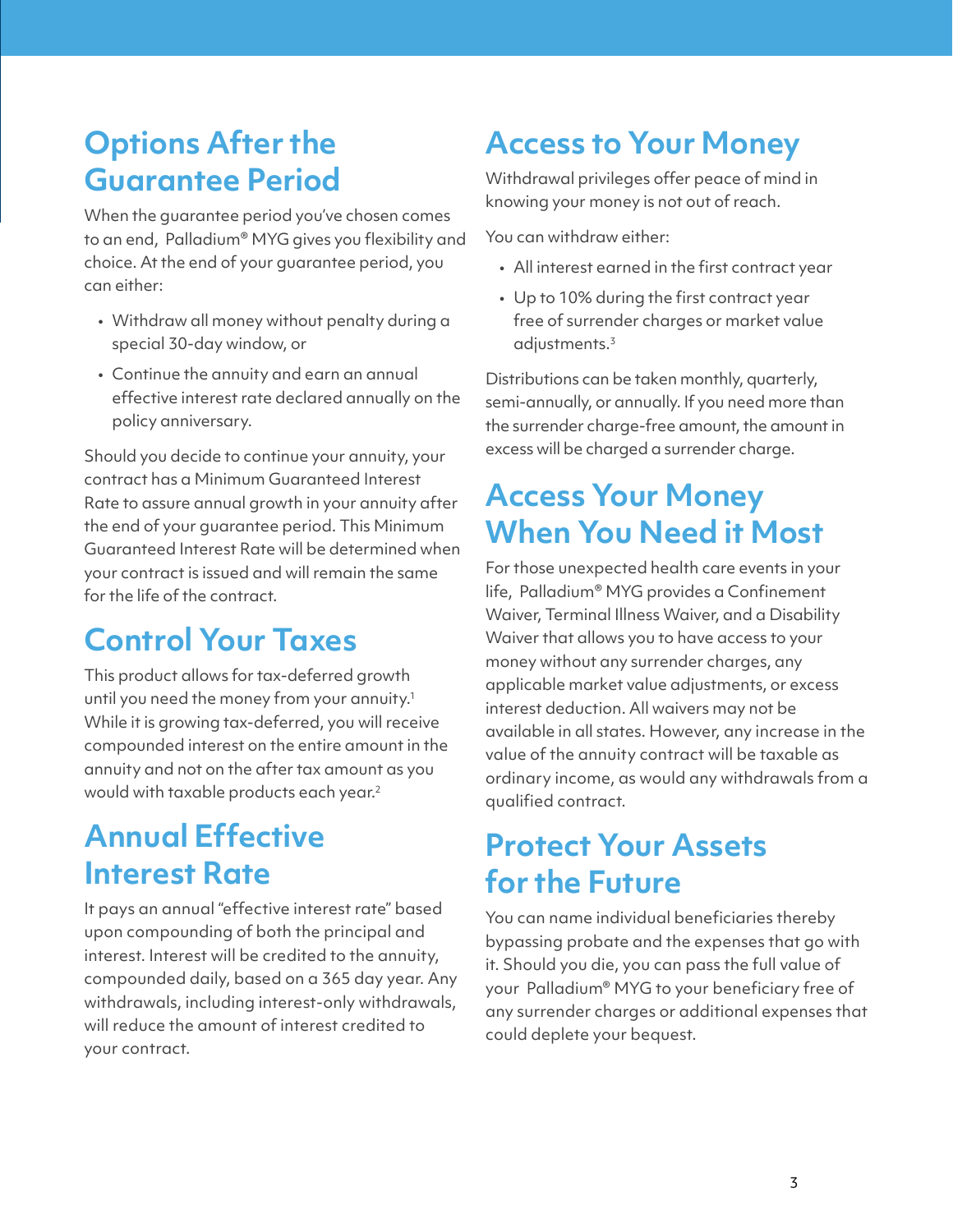### **Options After the Guarantee Period**

When the guarantee period you've chosen comes to an end, Palladium® MYG gives you flexibility and choice. At the end of your guarantee period, you can either:

- Withdraw all money without penalty during a special 30-day window, or
- Continue the annuity and earn an annual effective interest rate declared annually on the policy anniversary.

Should you decide to continue your annuity, your contract has a Minimum Guaranteed Interest Rate to assure annual growth in your annuity after the end of your guarantee period. This Minimum Guaranteed Interest Rate will be determined when your contract is issued and will remain the same for the life of the contract.

# **Control Your Taxes**

This product allows for tax-deferred growth until you need the money from your annuity.<sup>1</sup> While it is growing tax-deferred, you will receive compounded interest on the entire amount in the annuity and not on the after tax amount as you would with taxable products each year.<sup>2</sup>

# **Annual Effective Interest Rate**

It pays an annual "effective interest rate" based upon compounding of both the principal and interest. Interest will be credited to the annuity, compounded daily, based on a 365 day year. Any withdrawals, including interest-only withdrawals, will reduce the amount of interest credited to your contract.

# **Access to Your Money**

Withdrawal privileges offer peace of mind in knowing your money is not out of reach.

You can withdraw either:

- All interest earned in the first contract year
- Up to 10% during the first contract year free of surrender charges or market value  $adiv$ stments. $3$

Distributions can be taken monthly, quarterly, semi-annually, or annually. If you need more than the surrender charge-free amount, the amount in excess will be charged a surrender charge.

# **Access Your Money When You Need it Most**

For those unexpected health care events in your life, Palladium® MYG provides a Confinement Waiver, Terminal Illness Waiver, and a Disability Waiver that allows you to have access to your money without any surrender charges, any applicable market value adjustments, or excess interest deduction. All waivers may not be available in all states. However, any increase in the value of the annuity contract will be taxable as ordinary income, as would any withdrawals from a qualified contract.

## **Protect Your Assets for the Future**

You can name individual beneficiaries thereby bypassing probate and the expenses that go with it. Should you die, you can pass the full value of your Palladium® MYG to your beneficiary free of any surrender charges or additional expenses that could deplete your bequest.